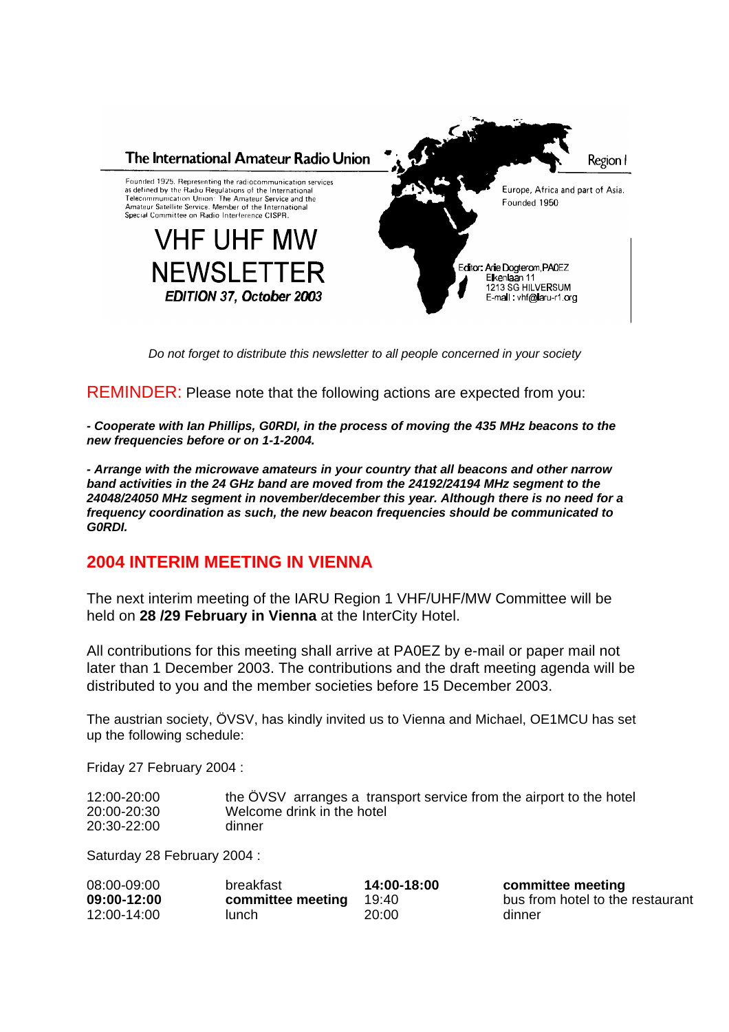

*Do not forget to distribute this newsletter to all people concerned in your society*

REMINDER: Please note that the following actions are expected from you:

*- Cooperate with Ian Phillips, G0RDI, in the process of moving the 435 MHz beacons to the new frequencies before or on 1-1-2004.*

*- Arrange with the microwave amateurs in your country that all beacons and other narrow band activities in the 24 GHz band are moved from the 24192/24194 MHz segment to the 24048/24050 MHz segment in november/december this year. Although there is no need for a frequency coordination as such, the new beacon frequencies should be communicated to G0RDI.*

# **2004 INTERIM MEETING IN VIENNA**

The next interim meeting of the IARU Region 1 VHF/UHF/MW Committee will be held on **28 /29 February in Vienna** at the InterCity Hotel.

All contributions for this meeting shall arrive at PA0EZ by e-mail or paper mail not later than 1 December 2003. The contributions and the draft meeting agenda will be distributed to you and the member societies before 15 December 2003.

The austrian society, ÖVSV, has kindly invited us to Vienna and Michael, OE1MCU has set up the following schedule:

Friday 27 February 2004 :

| 12:00-20:00 | the OVSV arranges a transport service from the airport to the hotel |
|-------------|---------------------------------------------------------------------|
| 20:00-20:30 | Welcome drink in the hotel                                          |
| 20:30-22:00 | dinner                                                              |

Saturday 28 February 2004 :

| 08:00-09:00 | breakfast         | 14:00-18:00 | committee meeting                |
|-------------|-------------------|-------------|----------------------------------|
| 09:00-12:00 | committee meeting | 19:40       | bus from hotel to the restaurant |
| 12:00-14:00 | lunch             | 20:00       | dinner                           |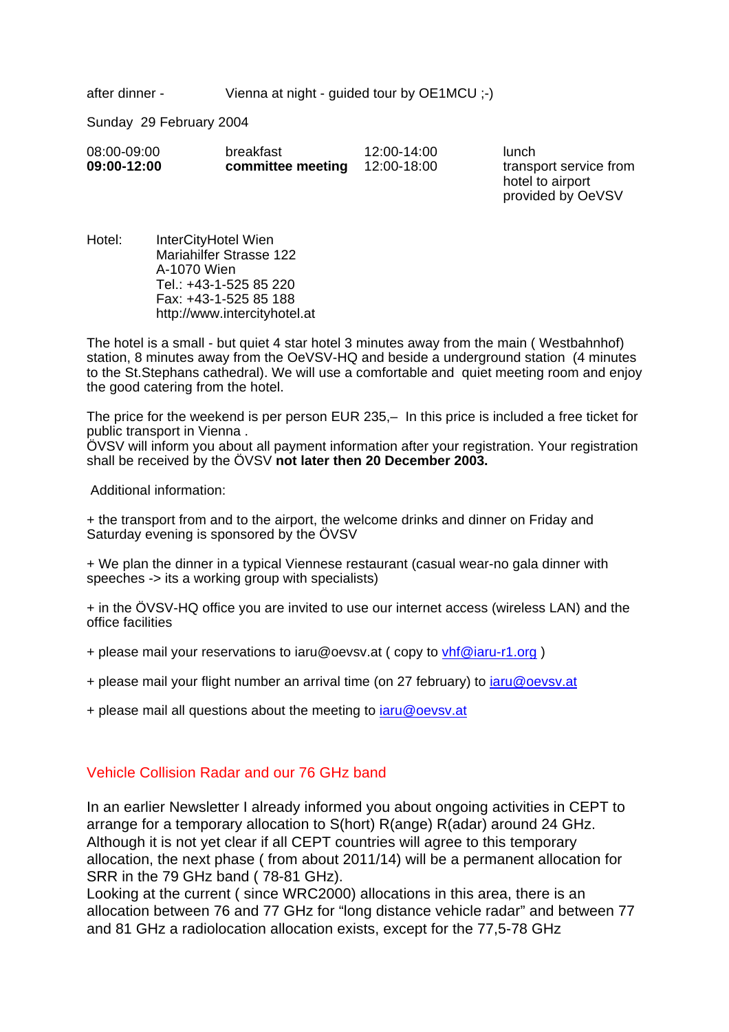after dinner - Vienna at night - guided tour by OE1MCU :-)

Sunday 29 February 2004

| 08:00-09:00 | breakfast         | 12:00-14:00 | lunch     |
|-------------|-------------------|-------------|-----------|
| 09:00-12:00 | committee meeting | 12:00-18:00 | transport |

service from hotel to airport provided by OeVSV

Hotel: InterCityHotel Wien Mariahilfer Strasse 122 A-1070 Wien Tel.: +43-1-525 85 220 Fax: +43-1-525 85 188 http://www.intercityhotel.at

The hotel is a small - but quiet 4 star hotel 3 minutes away from the main ( Westbahnhof) station, 8 minutes away from the OeVSV-HQ and beside a underground station (4 minutes to the St.Stephans cathedral). We will use a comfortable and quiet meeting room and enjoy the good catering from the hotel.

The price for the weekend is per person EUR 235,– In this price is included a free ticket for public transport in Vienna .

ÖVSV will inform you about all payment information after your registration. Your registration shall be received by the ÖVSV **not later then 20 December 2003.**

Additional information:

+ the transport from and to the airport, the welcome drinks and dinner on Friday and Saturday evening is sponsored by the ÖVSV

+ We plan the dinner in a typical Viennese restaurant (casual wear-no gala dinner with speeches -> its a working group with specialists)

+ in the ÖVSV-HQ office you are invited to use our internet access (wireless LAN) and the office facilities

- + please mail your reservations to iaru@oevsv.at ( copy to vhf@iaru-r1.org )
- + please mail your flight number an arrival time (on 27 february) to iaru@oevsv.at
- + please mail all questions about the meeting to *iaru@oevsv.at*

# Vehicle Collision Radar and our 76 GHz band

In an earlier Newsletter I already informed you about ongoing activities in CEPT to arrange for a temporary allocation to S(hort) R(ange) R(adar) around 24 GHz. Although it is not yet clear if all CEPT countries will agree to this temporary allocation, the next phase ( from about 2011/14) will be a permanent allocation for SRR in the 79 GHz band ( 78-81 GHz).

Looking at the current ( since WRC2000) allocations in this area, there is an allocation between 76 and 77 GHz for "long distance vehicle radar" and between 77 and 81 GHz a radiolocation allocation exists, except for the 77,5-78 GHz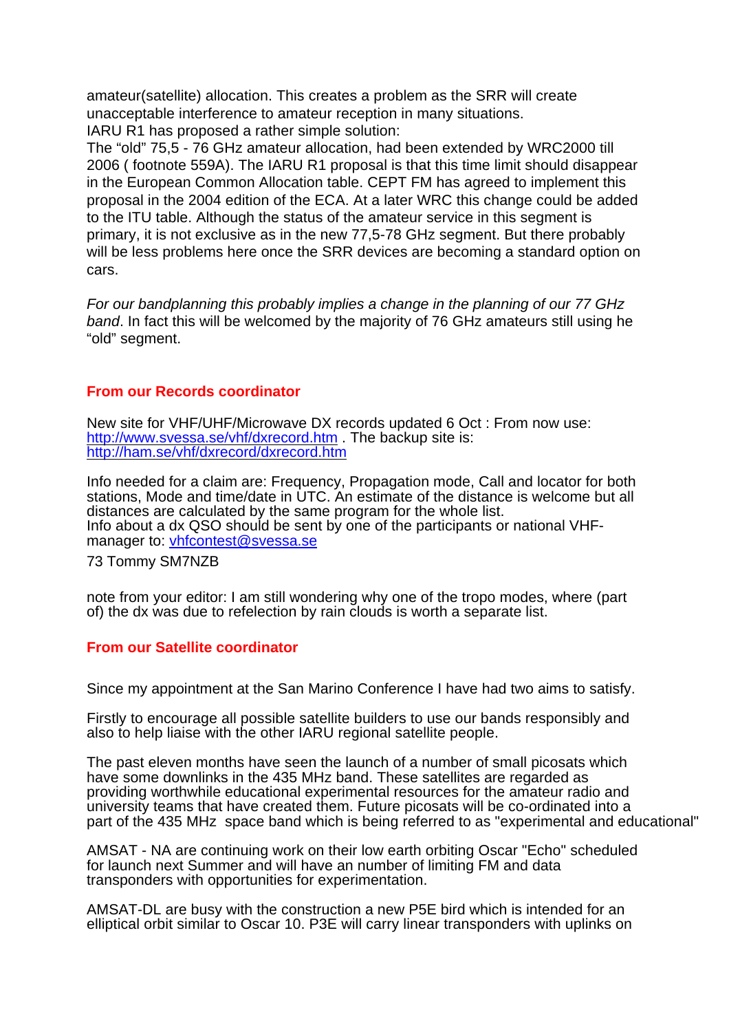amateur(satellite) allocation. This creates a problem as the SRR will create unacceptable interference to amateur reception in many situations. IARU R1 has proposed a rather simple solution:

The "old" 75,5 - 76 GHz amateur allocation, had been extended by WRC2000 till 2006 ( footnote 559A). The IARU R1 proposal is that this time limit should disappear in the European Common Allocation table. CEPT FM has agreed to implement this proposal in the 2004 edition of the ECA. At a later WRC this change could be added to the ITU table. Although the status of the amateur service in this segment is primary, it is not exclusive as in the new 77,5-78 GHz segment. But there probably will be less problems here once the SRR devices are becoming a standard option on cars.

*For our bandplanning this probably implies a change in the planning of our 77 GHz band*. In fact this will be welcomed by the majority of 76 GHz amateurs still using he "old" segment.

## **From our Records coordinator**

New site for VHF/UHF/Microwave DX records updated 6 Oct : From now use: http://www.svessa.se/vhf/dxrecord.htm . The backup site is: http://ham.se/vhf/dxrecord/dxrecord.htm

Info needed for a claim are: Frequency, Propagation mode, Call and locator for both stations, Mode and time/date in UTC. An estimate of the distance is welcome but all distances are calculated by the same program for the whole list. Info about a dx QSO should be sent by one of the participants or national VHFmanager to: vhfcontest@svessa.se

73 Tommy SM7NZB

note from your editor: I am still wondering why one of the tropo modes, where (part of) the dx was due to refelection by rain clouds is worth a separate list.

#### **From our Satellite coordinator**

Since my appointment at the San Marino Conference I have had two aims to satisfy.

Firstly to encourage all possible satellite builders to use our bands responsibly and also to help liaise with the other IARU regional satellite people.

The past eleven months have seen the launch of a number of small picosats which have some downlinks in the 435 MHz band. These satellites are regarded as providing worthwhile educational experimental resources for the amateur radio and university teams that have created them. Future picosats will be co-ordinated into a part of the 435 MHz space band which is being referred to as "experimental and educational"

AMSAT - NA are continuing work on their low earth orbiting Oscar "Echo" scheduled for launch next Summer and will have an number of limiting FM and data transponders with opportunities for experimentation.

AMSAT-DL are busy with the construction a new P5E bird which is intended for an elliptical orbit similar to Oscar 10. P3E will carry linear transponders with uplinks on